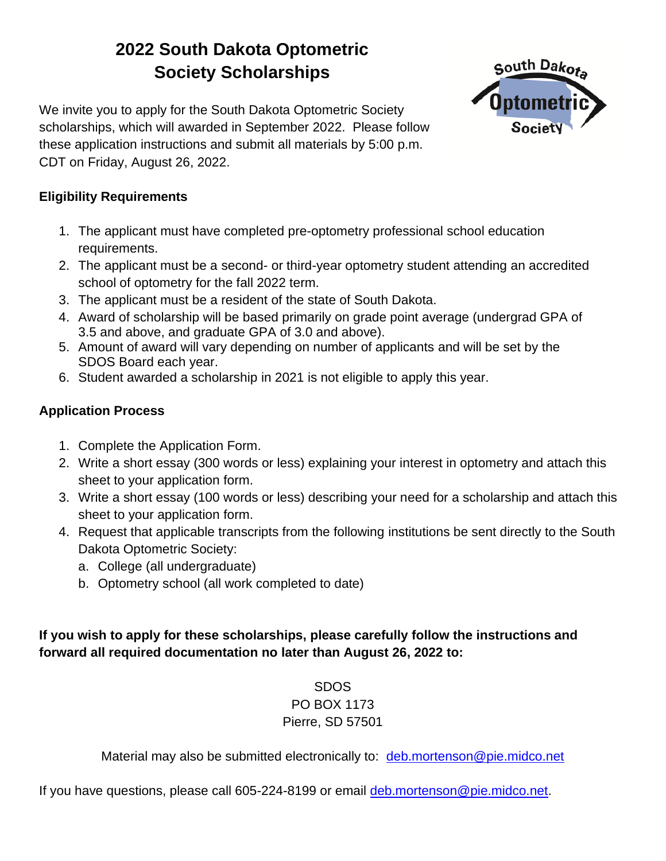# **2022 South Dakota Optometric Society Scholarships**



We invite you to apply for the South Dakota Optometric Society scholarships, which will awarded in September 2022. Please follow these application instructions and submit all materials by 5:00 p.m. CDT on Friday, August 26, 2022.

#### **Eligibility Requirements**

- 1. The applicant must have completed pre-optometry professional school education requirements.
- 2. The applicant must be a second- or third-year optometry student attending an accredited school of optometry for the fall 2022 term.
- 3. The applicant must be a resident of the state of South Dakota.
- 4. Award of scholarship will be based primarily on grade point average (undergrad GPA of 3.5 and above, and graduate GPA of 3.0 and above).
- 5. Amount of award will vary depending on number of applicants and will be set by the SDOS Board each year.
- 6. Student awarded a scholarship in 2021 is not eligible to apply this year.

### **Application Process**

- 1. Complete the Application Form.
- 2. Write a short essay (300 words or less) explaining your interest in optometry and attach this sheet to your application form.
- 3. Write a short essay (100 words or less) describing your need for a scholarship and attach this sheet to your application form.
- 4. Request that applicable transcripts from the following institutions be sent directly to the South Dakota Optometric Society:
	- a. College (all undergraduate)
	- b. Optometry school (all work completed to date)

#### **If you wish to apply for these scholarships, please carefully follow the instructions and forward all required documentation no later than August 26, 2022 to:**

#### SDOS PO BOX 1173

### Pierre, SD 57501

Material may also be submitted electronically to: [deb.mortenson@pie.midco.net](mailto:deb.mortenson@pie.midco.net)

If you have questions, please call 605-224-8199 or email [deb.mortenson@pie.midco.net.](mailto:deb.mortenson@pie.midco.net)